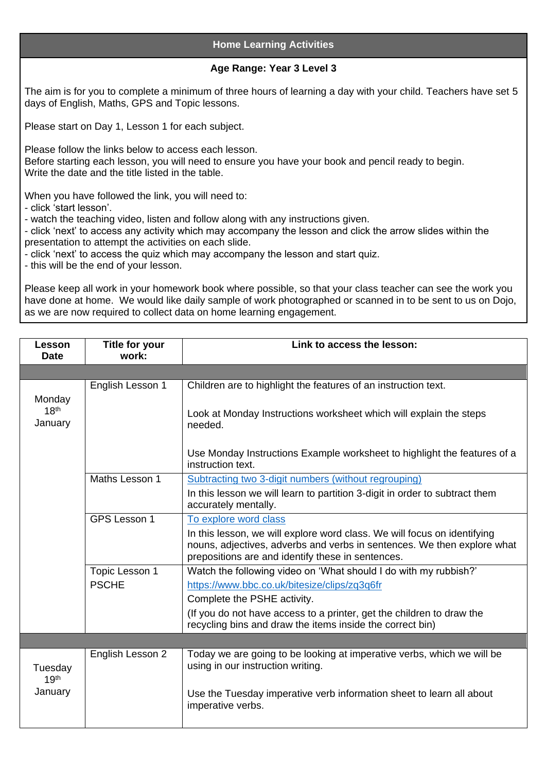## **Home Learning Activities**

## **Age Range: Year 3 Level 3**

The aim is for you to complete a minimum of three hours of learning a day with your child. Teachers have set 5 days of English, Maths, GPS and Topic lessons.

Please start on Day 1, Lesson 1 for each subject.

Please follow the links below to access each lesson. Before starting each lesson, you will need to ensure you have your book and pencil ready to begin. Write the date and the title listed in the table.

When you have followed the link, you will need to:

- click 'start lesson'.

- watch the teaching video, listen and follow along with any instructions given.

- click 'next' to access any activity which may accompany the lesson and click the arrow slides within the presentation to attempt the activities on each slide.

- click 'next' to access the quiz which may accompany the lesson and start quiz.

- this will be the end of your lesson.

Please keep all work in your homework book where possible, so that your class teacher can see the work you have done at home. We would like daily sample of work photographed or scanned in to be sent to us on Dojo, as we are now required to collect data on home learning engagement.

| <b>Lesson</b><br><b>Date</b>           | Title for your<br>work:        | Link to access the lesson:                                                                                                                                                                               |
|----------------------------------------|--------------------------------|----------------------------------------------------------------------------------------------------------------------------------------------------------------------------------------------------------|
|                                        |                                |                                                                                                                                                                                                          |
| Monday<br>18 <sup>th</sup><br>January  | English Lesson 1               | Children are to highlight the features of an instruction text.                                                                                                                                           |
|                                        |                                | Look at Monday Instructions worksheet which will explain the steps<br>needed.                                                                                                                            |
|                                        |                                | Use Monday Instructions Example worksheet to highlight the features of a<br>instruction text.                                                                                                            |
|                                        | Maths Lesson 1                 | Subtracting two 3-digit numbers (without regrouping)                                                                                                                                                     |
|                                        |                                | In this lesson we will learn to partition 3-digit in order to subtract them<br>accurately mentally.                                                                                                      |
|                                        | GPS Lesson 1                   | To explore word class                                                                                                                                                                                    |
|                                        |                                | In this lesson, we will explore word class. We will focus on identifying<br>nouns, adjectives, adverbs and verbs in sentences. We then explore what<br>prepositions are and identify these in sentences. |
|                                        | Topic Lesson 1<br><b>PSCHE</b> | Watch the following video on 'What should I do with my rubbish?'                                                                                                                                         |
|                                        |                                | https://www.bbc.co.uk/bitesize/clips/zq3q6fr                                                                                                                                                             |
|                                        |                                | Complete the PSHE activity.                                                                                                                                                                              |
|                                        |                                | (If you do not have access to a printer, get the children to draw the<br>recycling bins and draw the items inside the correct bin)                                                                       |
|                                        |                                |                                                                                                                                                                                                          |
| Tuesday<br>19 <sup>th</sup><br>January | English Lesson 2               | Today we are going to be looking at imperative verbs, which we will be<br>using in our instruction writing.                                                                                              |
|                                        |                                | Use the Tuesday imperative verb information sheet to learn all about<br>imperative verbs.                                                                                                                |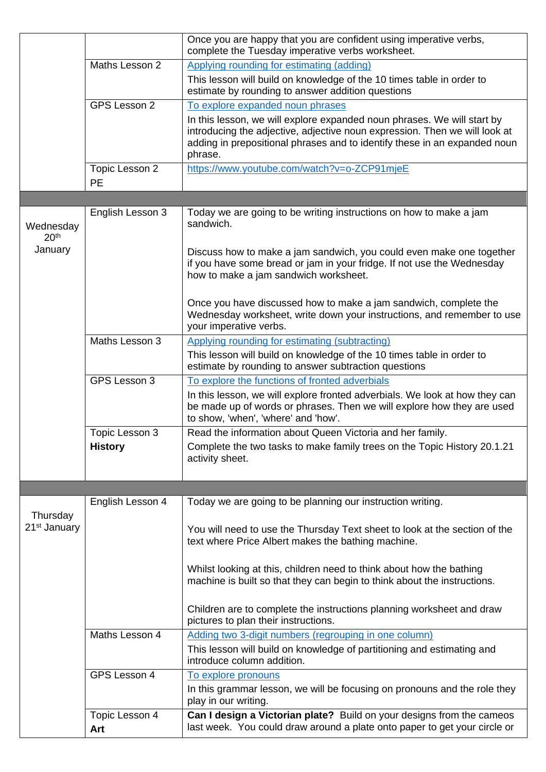|                                      |                             | Once you are happy that you are confident using imperative verbs,<br>complete the Tuesday imperative verbs worksheet.                                                                                                                         |
|--------------------------------------|-----------------------------|-----------------------------------------------------------------------------------------------------------------------------------------------------------------------------------------------------------------------------------------------|
|                                      | Maths Lesson 2              | Applying rounding for estimating (adding)                                                                                                                                                                                                     |
|                                      |                             | This lesson will build on knowledge of the 10 times table in order to<br>estimate by rounding to answer addition questions                                                                                                                    |
|                                      | GPS Lesson 2                | To explore expanded noun phrases                                                                                                                                                                                                              |
|                                      |                             | In this lesson, we will explore expanded noun phrases. We will start by<br>introducing the adjective, adjective noun expression. Then we will look at<br>adding in prepositional phrases and to identify these in an expanded noun<br>phrase. |
|                                      | Topic Lesson 2<br><b>PE</b> | https://www.youtube.com/watch?v=o-ZCP91mjeE                                                                                                                                                                                                   |
|                                      |                             |                                                                                                                                                                                                                                               |
| Wednesday<br>20 <sup>th</sup>        | English Lesson 3            | Today we are going to be writing instructions on how to make a jam<br>sandwich.                                                                                                                                                               |
| January                              |                             | Discuss how to make a jam sandwich, you could even make one together<br>if you have some bread or jam in your fridge. If not use the Wednesday<br>how to make a jam sandwich worksheet.                                                       |
|                                      |                             | Once you have discussed how to make a jam sandwich, complete the<br>Wednesday worksheet, write down your instructions, and remember to use<br>your imperative verbs.                                                                          |
|                                      | Maths Lesson 3              | <b>Applying rounding for estimating (subtracting)</b>                                                                                                                                                                                         |
|                                      |                             | This lesson will build on knowledge of the 10 times table in order to<br>estimate by rounding to answer subtraction questions                                                                                                                 |
|                                      | GPS Lesson 3                | To explore the functions of fronted adverbials                                                                                                                                                                                                |
|                                      |                             | In this lesson, we will explore fronted adverbials. We look at how they can<br>be made up of words or phrases. Then we will explore how they are used<br>to show, 'when', 'where' and 'how'.                                                  |
|                                      | Topic Lesson 3              | Read the information about Queen Victoria and her family.                                                                                                                                                                                     |
|                                      | <b>History</b>              | Complete the two tasks to make family trees on the Topic History 20.1.21<br>activity sheet.                                                                                                                                                   |
|                                      |                             |                                                                                                                                                                                                                                               |
|                                      | English Lesson 4            | Today we are going to be planning our instruction writing.                                                                                                                                                                                    |
| Thursday<br>21 <sup>st</sup> January |                             | You will need to use the Thursday Text sheet to look at the section of the<br>text where Price Albert makes the bathing machine.                                                                                                              |
|                                      |                             | Whilst looking at this, children need to think about how the bathing<br>machine is built so that they can begin to think about the instructions.                                                                                              |
|                                      |                             | Children are to complete the instructions planning worksheet and draw<br>pictures to plan their instructions.                                                                                                                                 |
|                                      | Maths Lesson 4              | Adding two 3-digit numbers (regrouping in one column)                                                                                                                                                                                         |
|                                      |                             | This lesson will build on knowledge of partitioning and estimating and<br>introduce column addition.                                                                                                                                          |
|                                      | GPS Lesson 4                | To explore pronouns                                                                                                                                                                                                                           |
|                                      |                             | In this grammar lesson, we will be focusing on pronouns and the role they<br>play in our writing.                                                                                                                                             |
|                                      | Topic Lesson 4<br>Art       | Can I design a Victorian plate? Build on your designs from the cameos<br>last week. You could draw around a plate onto paper to get your circle or                                                                                            |